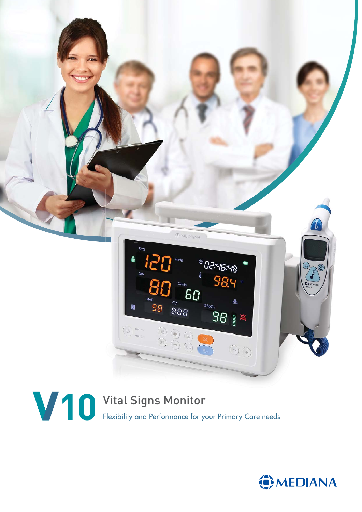



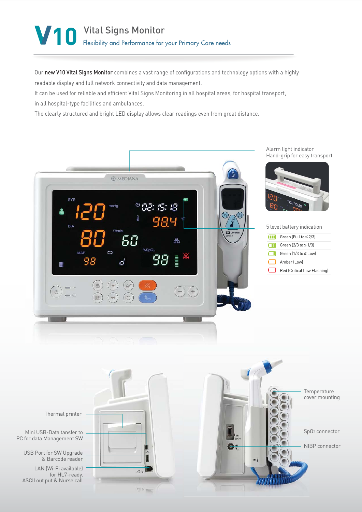# **10** Vital Signs Monitor Flexibility and Performance for your Primary Care needs

Our new V10 Vital Signs Monitor combines a vast range of configurations and technology options with a highly readable display and full network connectivity and data management.

It can be used for reliable and efficient Vital Signs Monitoring in all hospital areas, for hospital transport,

in all hospital-type facilities and ambulances.

The clearly structured and bright LED display allows clear readings even from great distance.



Temperature Te cover mounting cov Thermal printer Mini USB-Data tansfer to SpO2 connector Sp PC for data Management SW  $\bullet$ NIBP connector NI USB Port for SW Upgrade & Barcode reader LAN (Wi-Fi available)  $\triangle$  0 for HL7-ready, ASCII out put & Nurse call  $\bigtriangledown$  0 =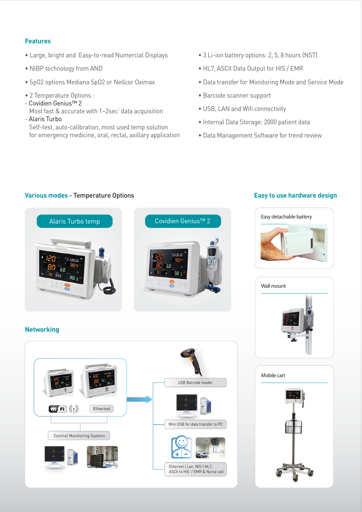# **Features**

- Large, bright and Easy-to-read Numercial Displays
- NIBP technology from AND
- SpO2 options Mediana SpO2 or Nellcor Oximax
- 2 Temperature Options :
- Covidien Genius™ 2

 Most fast & accurate with 1~2sec' data acquisition - Alaris Turbo

**Various modes -** Temperature Options

 Self-test, auto-calibration, most used temp solution for emergency medicine, oral, rectal, axillary application

- 3 Li-ion battery options: 2, 5, 8 hours (NST)
- HL7, ASCII Data Output for HIS / EMR
- Data transfer for Monitoring Mode and Service Mode
- Barcode scanner support
- USB, LAN and Wifi connectivity
- Internal Data Storage: 2000 patient data
- Data Management Software for trend review



## **Easy to use hardware design**





## **Networking**